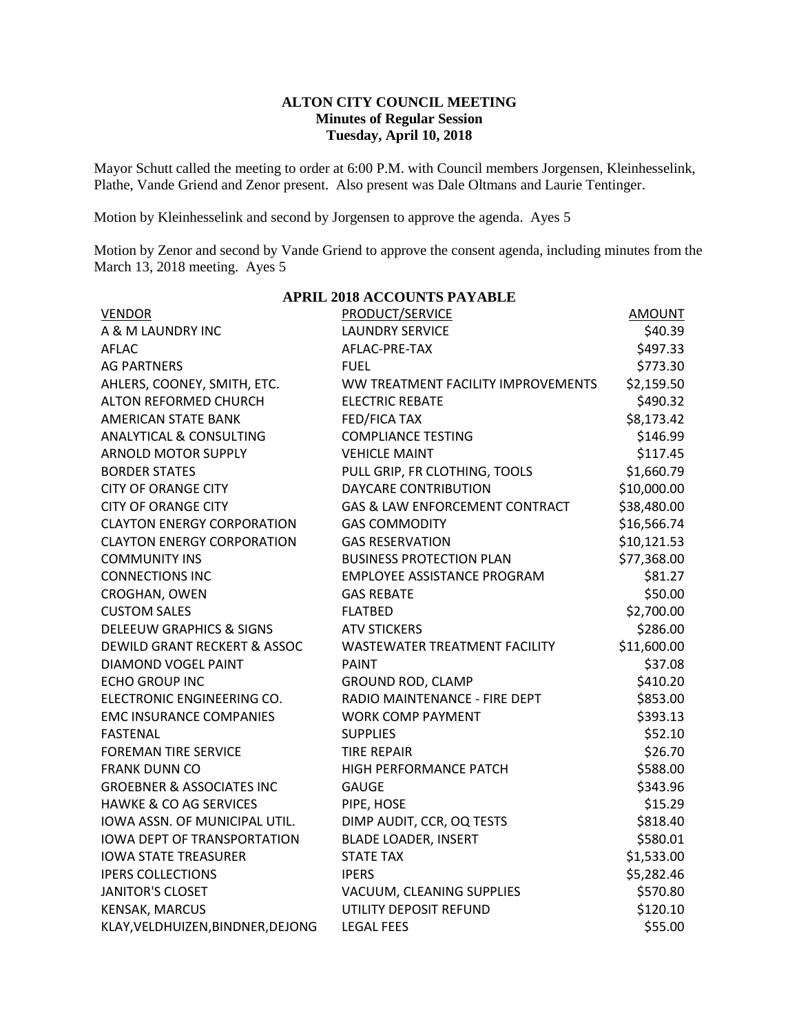### **ALTON CITY COUNCIL MEETING Minutes of Regular Session Tuesday, April 10, 2018**

Mayor Schutt called the meeting to order at 6:00 P.M. with Council members Jorgensen, Kleinhesselink, Plathe, Vande Griend and Zenor present. Also present was Dale Oltmans and Laurie Tentinger.

Motion by Kleinhesselink and second by Jorgensen to approve the agenda. Ayes 5

Motion by Zenor and second by Vande Griend to approve the consent agenda, including minutes from the March 13, 2018 meeting. Ayes 5

| <b>APRIL 2018 ACCOUNTS PAYABLE</b>   |                                    |               |  |  |  |
|--------------------------------------|------------------------------------|---------------|--|--|--|
| <b>VENDOR</b>                        | PRODUCT/SERVICE                    | <b>AMOUNT</b> |  |  |  |
| A & M LAUNDRY INC                    | <b>LAUNDRY SERVICE</b>             | \$40.39       |  |  |  |
| <b>AFLAC</b>                         | AFLAC-PRE-TAX                      | \$497.33      |  |  |  |
| <b>AG PARTNERS</b>                   | <b>FUEL</b>                        | \$773.30      |  |  |  |
| AHLERS, COONEY, SMITH, ETC.          | WW TREATMENT FACILITY IMPROVEMENTS | \$2,159.50    |  |  |  |
| ALTON REFORMED CHURCH                | <b>ELECTRIC REBATE</b>             | \$490.32      |  |  |  |
| <b>AMERICAN STATE BANK</b>           | <b>FED/FICA TAX</b>                | \$8,173.42    |  |  |  |
| <b>ANALYTICAL &amp; CONSULTING</b>   | <b>COMPLIANCE TESTING</b>          | \$146.99      |  |  |  |
| <b>ARNOLD MOTOR SUPPLY</b>           | <b>VEHICLE MAINT</b>               | \$117.45      |  |  |  |
| <b>BORDER STATES</b>                 | PULL GRIP, FR CLOTHING, TOOLS      | \$1,660.79    |  |  |  |
| <b>CITY OF ORANGE CITY</b>           | DAYCARE CONTRIBUTION               | \$10,000.00   |  |  |  |
| <b>CITY OF ORANGE CITY</b>           | GAS & LAW ENFORCEMENT CONTRACT     | \$38,480.00   |  |  |  |
| <b>CLAYTON ENERGY CORPORATION</b>    | <b>GAS COMMODITY</b>               | \$16,566.74   |  |  |  |
| <b>CLAYTON ENERGY CORPORATION</b>    | <b>GAS RESERVATION</b>             | \$10,121.53   |  |  |  |
| <b>COMMUNITY INS</b>                 | <b>BUSINESS PROTECTION PLAN</b>    | \$77,368.00   |  |  |  |
| <b>CONNECTIONS INC</b>               | <b>EMPLOYEE ASSISTANCE PROGRAM</b> | \$81.27       |  |  |  |
| CROGHAN, OWEN                        | <b>GAS REBATE</b>                  | \$50.00       |  |  |  |
| <b>CUSTOM SALES</b>                  | <b>FLATBED</b>                     | \$2,700.00    |  |  |  |
| <b>DELEEUW GRAPHICS &amp; SIGNS</b>  | <b>ATV STICKERS</b>                | \$286.00      |  |  |  |
| DEWILD GRANT RECKERT & ASSOC         | WASTEWATER TREATMENT FACILITY      | \$11,600.00   |  |  |  |
| <b>DIAMOND VOGEL PAINT</b>           | <b>PAINT</b>                       | \$37.08       |  |  |  |
| <b>ECHO GROUP INC</b>                | GROUND ROD, CLAMP                  | \$410.20      |  |  |  |
| ELECTRONIC ENGINEERING CO.           | RADIO MAINTENANCE - FIRE DEPT      | \$853.00      |  |  |  |
| <b>EMC INSURANCE COMPANIES</b>       | <b>WORK COMP PAYMENT</b>           | \$393.13      |  |  |  |
| <b>FASTENAL</b>                      | <b>SUPPLIES</b>                    | \$52.10       |  |  |  |
| <b>FOREMAN TIRE SERVICE</b>          | <b>TIRE REPAIR</b>                 | \$26.70       |  |  |  |
| <b>FRANK DUNN CO</b>                 | HIGH PERFORMANCE PATCH             | \$588.00      |  |  |  |
| <b>GROEBNER &amp; ASSOCIATES INC</b> | <b>GAUGE</b>                       | \$343.96      |  |  |  |
| <b>HAWKE &amp; CO AG SERVICES</b>    | PIPE, HOSE                         | \$15.29       |  |  |  |
| IOWA ASSN. OF MUNICIPAL UTIL.        | DIMP AUDIT, CCR, OQ TESTS          | \$818.40      |  |  |  |
| <b>IOWA DEPT OF TRANSPORTATION</b>   | <b>BLADE LOADER, INSERT</b>        | \$580.01      |  |  |  |
| <b>IOWA STATE TREASURER</b>          | <b>STATE TAX</b>                   | \$1,533.00    |  |  |  |
| <b>IPERS COLLECTIONS</b>             | <b>IPERS</b>                       | \$5,282.46    |  |  |  |
| <b>JANITOR'S CLOSET</b>              | VACUUM, CLEANING SUPPLIES          | \$570.80      |  |  |  |
| <b>KENSAK, MARCUS</b>                | UTILITY DEPOSIT REFUND             | \$120.10      |  |  |  |
| KLAY, VELDHUIZEN, BINDNER, DEJONG    | <b>LEGAL FEES</b>                  | \$55.00       |  |  |  |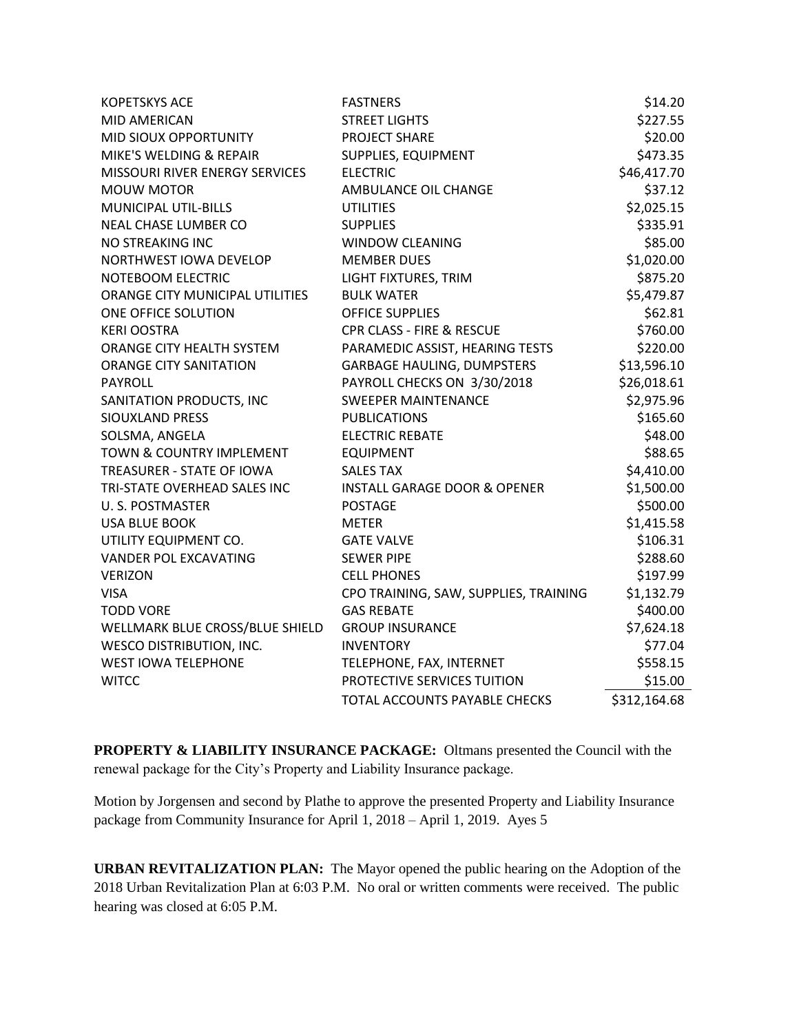| <b>KOPETSKYS ACE</b>            | <b>FASTNERS</b>                         | \$14.20      |
|---------------------------------|-----------------------------------------|--------------|
| <b>MID AMERICAN</b>             | <b>STREET LIGHTS</b>                    | \$227.55     |
| MID SIOUX OPPORTUNITY           | PROJECT SHARE                           | \$20.00      |
| MIKE'S WELDING & REPAIR         | SUPPLIES, EQUIPMENT                     | \$473.35     |
| MISSOURI RIVER ENERGY SERVICES  | <b>ELECTRIC</b>                         | \$46,417.70  |
| <b>MOUW MOTOR</b>               | AMBULANCE OIL CHANGE                    | \$37.12      |
| MUNICIPAL UTIL-BILLS            | <b>UTILITIES</b>                        | \$2,025.15   |
| <b>NEAL CHASE LUMBER CO</b>     | <b>SUPPLIES</b>                         | \$335.91     |
| NO STREAKING INC                | <b>WINDOW CLEANING</b>                  | \$85.00      |
| NORTHWEST IOWA DEVELOP          | <b>MEMBER DUES</b>                      | \$1,020.00   |
| NOTEBOOM ELECTRIC               | LIGHT FIXTURES, TRIM                    | \$875.20     |
| ORANGE CITY MUNICIPAL UTILITIES | <b>BULK WATER</b>                       | \$5,479.87   |
| ONE OFFICE SOLUTION             | <b>OFFICE SUPPLIES</b>                  | \$62.81      |
| <b>KERI OOSTRA</b>              | <b>CPR CLASS - FIRE &amp; RESCUE</b>    | \$760.00     |
| ORANGE CITY HEALTH SYSTEM       | PARAMEDIC ASSIST, HEARING TESTS         | \$220.00     |
| <b>ORANGE CITY SANITATION</b>   | <b>GARBAGE HAULING, DUMPSTERS</b>       | \$13,596.10  |
| <b>PAYROLL</b>                  | PAYROLL CHECKS ON 3/30/2018             | \$26,018.61  |
| SANITATION PRODUCTS, INC        | <b>SWEEPER MAINTENANCE</b>              | \$2,975.96   |
| <b>SIOUXLAND PRESS</b>          | <b>PUBLICATIONS</b>                     | \$165.60     |
| SOLSMA, ANGELA                  | <b>ELECTRIC REBATE</b>                  | \$48.00      |
| TOWN & COUNTRY IMPLEMENT        | <b>EQUIPMENT</b>                        | \$88.65      |
| TREASURER - STATE OF IOWA       | <b>SALES TAX</b>                        | \$4,410.00   |
| TRI-STATE OVERHEAD SALES INC    | <b>INSTALL GARAGE DOOR &amp; OPENER</b> | \$1,500.00   |
| U.S. POSTMASTER                 | <b>POSTAGE</b>                          | \$500.00     |
| <b>USA BLUE BOOK</b>            | <b>METER</b>                            | \$1,415.58   |
| UTILITY EQUIPMENT CO.           | <b>GATE VALVE</b>                       | \$106.31     |
| <b>VANDER POL EXCAVATING</b>    | <b>SEWER PIPE</b>                       | \$288.60     |
| <b>VERIZON</b>                  | <b>CELL PHONES</b>                      | \$197.99     |
| <b>VISA</b>                     | CPO TRAINING, SAW, SUPPLIES, TRAINING   | \$1,132.79   |
| <b>TODD VORE</b>                | <b>GAS REBATE</b>                       | \$400.00     |
| WELLMARK BLUE CROSS/BLUE SHIELD | <b>GROUP INSURANCE</b>                  | \$7,624.18   |
| <b>WESCO DISTRIBUTION, INC.</b> | <b>INVENTORY</b>                        | \$77.04      |
| <b>WEST IOWA TELEPHONE</b>      | TELEPHONE, FAX, INTERNET                | \$558.15     |
| <b>WITCC</b>                    | PROTECTIVE SERVICES TUITION             | \$15.00      |
|                                 | TOTAL ACCOUNTS PAYABLE CHECKS           | \$312,164.68 |

**PROPERTY & LIABILITY INSURANCE PACKAGE:** Oltmans presented the Council with the renewal package for the City's Property and Liability Insurance package.

Motion by Jorgensen and second by Plathe to approve the presented Property and Liability Insurance package from Community Insurance for April 1, 2018 – April 1, 2019. Ayes 5

**URBAN REVITALIZATION PLAN:** The Mayor opened the public hearing on the Adoption of the 2018 Urban Revitalization Plan at 6:03 P.M. No oral or written comments were received. The public hearing was closed at 6:05 P.M.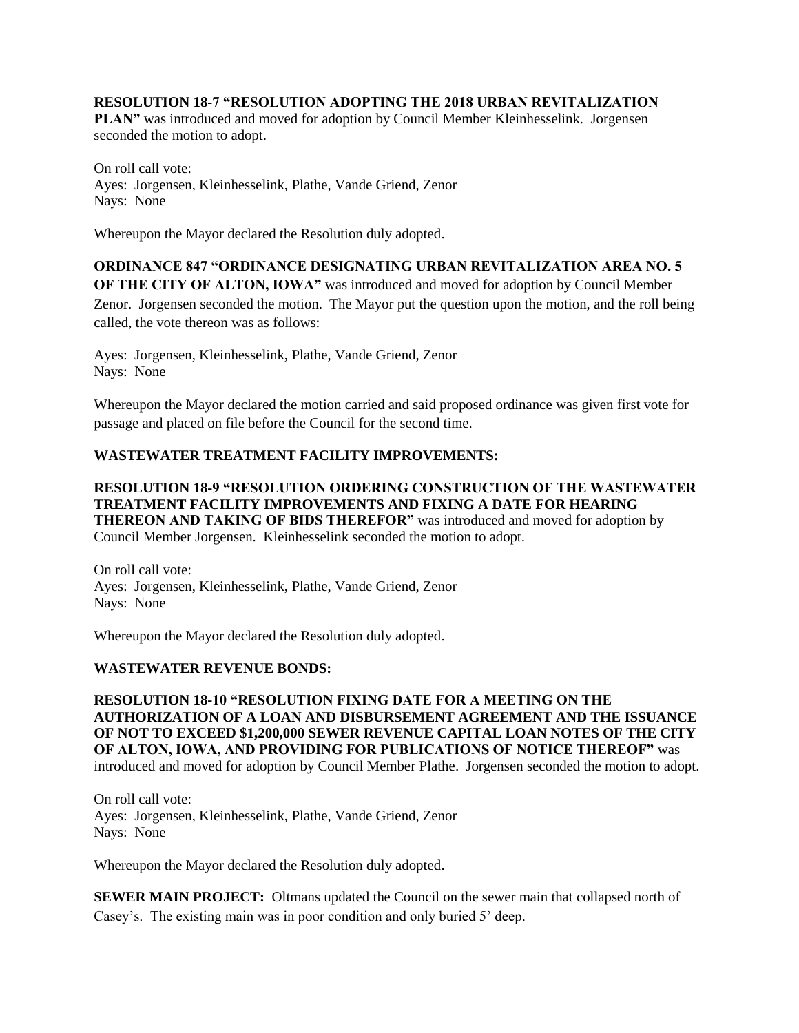### **RESOLUTION 18-7 "RESOLUTION ADOPTING THE 2018 URBAN REVITALIZATION**

**PLAN"** was introduced and moved for adoption by Council Member Kleinhesselink. Jorgensen seconded the motion to adopt.

On roll call vote: Ayes: Jorgensen, Kleinhesselink, Plathe, Vande Griend, Zenor Nays: None

Whereupon the Mayor declared the Resolution duly adopted.

### **ORDINANCE 847 "ORDINANCE DESIGNATING URBAN REVITALIZATION AREA NO. 5 OF THE CITY OF ALTON, IOWA"** was introduced and moved for adoption by Council Member

Zenor. Jorgensen seconded the motion. The Mayor put the question upon the motion, and the roll being called, the vote thereon was as follows:

Ayes: Jorgensen, Kleinhesselink, Plathe, Vande Griend, Zenor Nays: None

Whereupon the Mayor declared the motion carried and said proposed ordinance was given first vote for passage and placed on file before the Council for the second time.

## **WASTEWATER TREATMENT FACILITY IMPROVEMENTS:**

### **RESOLUTION 18-9 "RESOLUTION ORDERING CONSTRUCTION OF THE WASTEWATER TREATMENT FACILITY IMPROVEMENTS AND FIXING A DATE FOR HEARING THEREON AND TAKING OF BIDS THEREFOR"** was introduced and moved for adoption by Council Member Jorgensen. Kleinhesselink seconded the motion to adopt.

On roll call vote: Ayes: Jorgensen, Kleinhesselink, Plathe, Vande Griend, Zenor Nays: None

Whereupon the Mayor declared the Resolution duly adopted.

### **WASTEWATER REVENUE BONDS:**

**RESOLUTION 18-10 "RESOLUTION FIXING DATE FOR A MEETING ON THE AUTHORIZATION OF A LOAN AND DISBURSEMENT AGREEMENT AND THE ISSUANCE OF NOT TO EXCEED \$1,200,000 SEWER REVENUE CAPITAL LOAN NOTES OF THE CITY OF ALTON, IOWA, AND PROVIDING FOR PUBLICATIONS OF NOTICE THEREOF"** was introduced and moved for adoption by Council Member Plathe. Jorgensen seconded the motion to adopt.

On roll call vote: Ayes: Jorgensen, Kleinhesselink, Plathe, Vande Griend, Zenor Nays: None

Whereupon the Mayor declared the Resolution duly adopted.

**SEWER MAIN PROJECT:** Oltmans updated the Council on the sewer main that collapsed north of Casey's. The existing main was in poor condition and only buried 5' deep.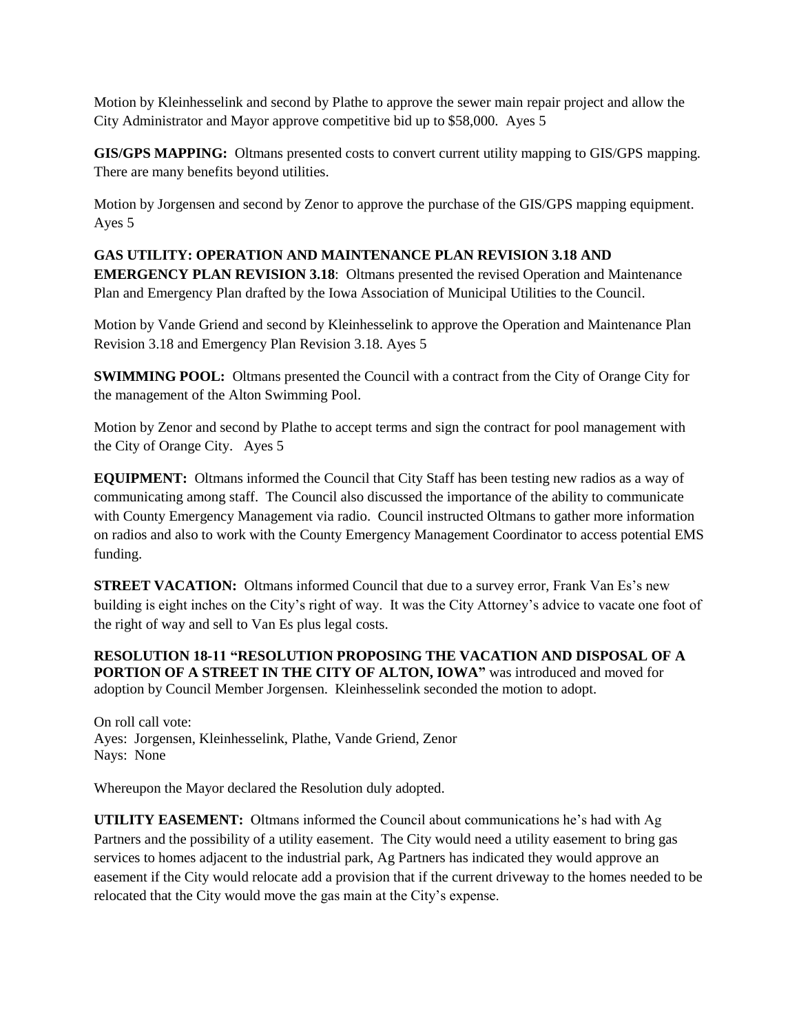Motion by Kleinhesselink and second by Plathe to approve the sewer main repair project and allow the City Administrator and Mayor approve competitive bid up to \$58,000. Ayes 5

**GIS/GPS MAPPING:** Oltmans presented costs to convert current utility mapping to GIS/GPS mapping. There are many benefits beyond utilities.

Motion by Jorgensen and second by Zenor to approve the purchase of the GIS/GPS mapping equipment. Ayes 5

# **GAS UTILITY: OPERATION AND MAINTENANCE PLAN REVISION 3.18 AND**

**EMERGENCY PLAN REVISION 3.18**: Oltmans presented the revised Operation and Maintenance Plan and Emergency Plan drafted by the Iowa Association of Municipal Utilities to the Council.

Motion by Vande Griend and second by Kleinhesselink to approve the Operation and Maintenance Plan Revision 3.18 and Emergency Plan Revision 3.18. Ayes 5

**SWIMMING POOL:** Oltmans presented the Council with a contract from the City of Orange City for the management of the Alton Swimming Pool.

Motion by Zenor and second by Plathe to accept terms and sign the contract for pool management with the City of Orange City. Ayes 5

**EQUIPMENT:** Oltmans informed the Council that City Staff has been testing new radios as a way of communicating among staff. The Council also discussed the importance of the ability to communicate with County Emergency Management via radio. Council instructed Oltmans to gather more information on radios and also to work with the County Emergency Management Coordinator to access potential EMS funding.

**STREET VACATION:** Oltmans informed Council that due to a survey error, Frank Van Es's new building is eight inches on the City's right of way. It was the City Attorney's advice to vacate one foot of the right of way and sell to Van Es plus legal costs.

**RESOLUTION 18-11 "RESOLUTION PROPOSING THE VACATION AND DISPOSAL OF A PORTION OF A STREET IN THE CITY OF ALTON, IOWA"** was introduced and moved for adoption by Council Member Jorgensen. Kleinhesselink seconded the motion to adopt.

On roll call vote: Ayes: Jorgensen, Kleinhesselink, Plathe, Vande Griend, Zenor Nays: None

Whereupon the Mayor declared the Resolution duly adopted.

**UTILITY EASEMENT:** Oltmans informed the Council about communications he's had with Ag Partners and the possibility of a utility easement. The City would need a utility easement to bring gas services to homes adjacent to the industrial park, Ag Partners has indicated they would approve an easement if the City would relocate add a provision that if the current driveway to the homes needed to be relocated that the City would move the gas main at the City's expense.